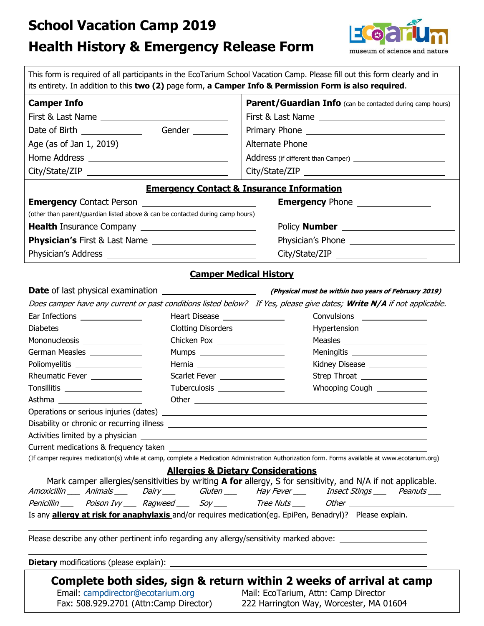# **School Vacation Camp 2019**

# **Health History & Emergency Release Form**



| <b>Camper Info</b>                                                             |                                                                   | Parent/Guardian Info (can be contacted during camp hours)                                                                                                                                                                      |
|--------------------------------------------------------------------------------|-------------------------------------------------------------------|--------------------------------------------------------------------------------------------------------------------------------------------------------------------------------------------------------------------------------|
|                                                                                |                                                                   |                                                                                                                                                                                                                                |
|                                                                                | Gender                                                            |                                                                                                                                                                                                                                |
|                                                                                |                                                                   |                                                                                                                                                                                                                                |
|                                                                                |                                                                   |                                                                                                                                                                                                                                |
|                                                                                |                                                                   |                                                                                                                                                                                                                                |
|                                                                                |                                                                   |                                                                                                                                                                                                                                |
|                                                                                |                                                                   | <b>Emergency Contact &amp; Insurance Information</b>                                                                                                                                                                           |
|                                                                                |                                                                   | <b>Emergency Phone</b> ________________                                                                                                                                                                                        |
| (other than parent/guardian listed above & can be contacted during camp hours) |                                                                   |                                                                                                                                                                                                                                |
|                                                                                |                                                                   |                                                                                                                                                                                                                                |
|                                                                                |                                                                   |                                                                                                                                                                                                                                |
|                                                                                |                                                                   |                                                                                                                                                                                                                                |
|                                                                                |                                                                   | <b>Camper Medical History</b>                                                                                                                                                                                                  |
|                                                                                |                                                                   |                                                                                                                                                                                                                                |
|                                                                                |                                                                   |                                                                                                                                                                                                                                |
|                                                                                |                                                                   | Does camper have any current or past conditions listed below? If Yes, please give dates; Write N/A if not applicable.                                                                                                          |
| Ear Infections ________________                                                | Heart Disease ________________<br>Clotting Disorders ____________ | Convulsions _________________                                                                                                                                                                                                  |
| Diabetes ____________________<br>Mononucleosis _______________                 | Chicken Pox ___________________                                   | Hypertension ________________<br>Measles ________________________                                                                                                                                                              |
| German Measles ______________                                                  | Mumps ________________________                                    | Meningitis ____________________                                                                                                                                                                                                |
|                                                                                |                                                                   | Kidney Disease ______________                                                                                                                                                                                                  |
|                                                                                |                                                                   |                                                                                                                                                                                                                                |
| Poliomyelitis ___________________                                              |                                                                   |                                                                                                                                                                                                                                |
| Rheumatic Fever ______________                                                 | Scarlet Fever ________________                                    |                                                                                                                                                                                                                                |
| Tonsillitis _____________________                                              | Tuberculosis __________________                                   | Whooping Cough ____________                                                                                                                                                                                                    |
|                                                                                |                                                                   |                                                                                                                                                                                                                                |
|                                                                                |                                                                   |                                                                                                                                                                                                                                |
|                                                                                |                                                                   | Activities limited by a physician example and a series of the state of the state of the state of the state of the state of the state of the state of the state of the state of the state of the state of the state of the stat |
|                                                                                |                                                                   |                                                                                                                                                                                                                                |
|                                                                                |                                                                   | (If camper requires medication(s) while at camp, complete a Medication Administration Authorization form. Forms available at www.ecotarium.org)                                                                                |
|                                                                                |                                                                   | <b>Allergies &amp; Dietary Considerations</b>                                                                                                                                                                                  |
|                                                                                |                                                                   | Mark camper allergies/sensitivities by writing A for allergy, S for sensitivity, and N/A if not applicable.                                                                                                                    |
|                                                                                |                                                                   | Amoxicillin Animals Dairy Gluten Hay Fever has estated Peanuts                                                                                                                                                                 |
|                                                                                |                                                                   | Penicillin Poison Ivy Ragweed Soy Tree Nuts Cher _______________________________<br>Is any <b>allergy at risk for anaphylaxis</b> and/or requires medication(eg. EpiPen, Benadryl)? Please explain.                            |

**Complete both sides, sign & return within 2 weeks of arrival at camp**<br>Email: campdirector@ecotarium.org Mail: EcoTarium, Attn: Camp Director

Email: campdirector@ecotarium.org Mail: EcoTarium, Attn: Camp Director<br>Fax: 508.929.2701 (Attn:Camp Director) 222 Harrington Way, Worcester, MA 0 222 Harrington Way, Worcester, MA 01604